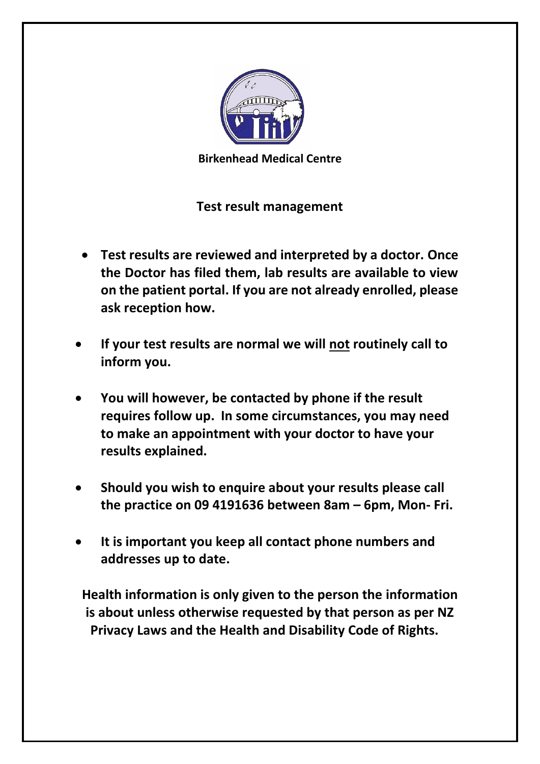

**Birkenhead Medical Centre**

## **Test result management**

- **Test results are reviewed and interpreted by a doctor. Once the Doctor has filed them, lab results are available to view on the patient portal. If you are not already enrolled, please ask reception how.**
- **If your test results are normal we will not routinely call to inform you.**
- **You will however, be contacted by phone if the result requires follow up. In some circumstances, you may need to make an appointment with your doctor to have your results explained.**
- **Should you wish to enquire about your results please call the practice on 09 4191636 between 8am – 6pm, Mon- Fri.**
- **It is important you keep all contact phone numbers and addresses up to date.**

**Health information is only given to the person the information is about unless otherwise requested by that person as per NZ Privacy Laws and the Health and Disability Code of Rights.**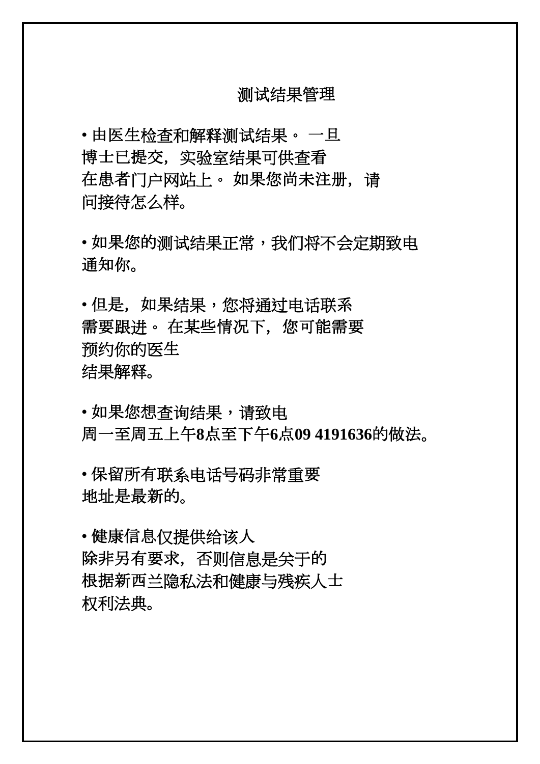## 测试结果管理

• 由医生检查和解释测试结果。 一旦 博士已提交,实验室结果可供查看 在患者门户网站上。 如果您尚未注册, 请 问接待怎么样。

• 如果您的测试结果正常,我们将不会定期致电 通知你。

• 但是,如果结果,您将通过电话联系 需要跟进。 在某些情况下,您可能需要 预约你的医生 结果解释。

• 如果您想杳询结果,请致电 周一至周五上午**8**点至下午**6**点**09 4191636**的做法。

• 保留所有联系电话号码非常重要 地址是最新的。

• 健康信息仅提供给该人 除非另有要求,否则信息是关于的 根据新西兰隐私法和健康与残疾人士 权利法典。